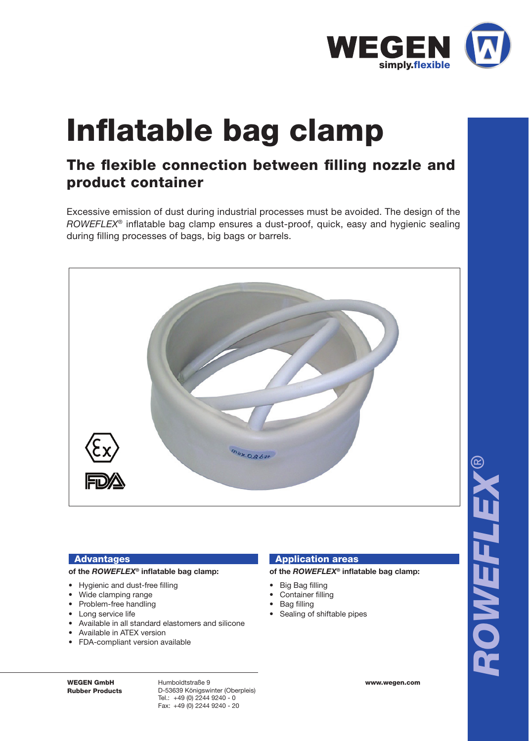

# Inflatable bag clamp

# The flexible connection between filling nozzle and product container

Excessive emission of dust during industrial processes must be avoided. The design of the *ROWEFLEX®* inflatable bag clamp ensures a dust-proof, quick, easy and hygienic sealing during filling processes of bags, big bags or barrels.



## Advantages

#### of the *ROWEFLEX***<sup>®</sup> inflatable bag clamp:**

- Hygienic and dust-free filling
- Wide clamping range
- Problem-free handling
- Long service life
- Available in all standard elastomers and silicone
- Available in ATEX version
- FDA-compliant version available

### Application areas

#### **of the** *ROWEFLEX***® infl atable bag clamp:**

- Big Bag filling
	- Container filling
	- Bag filling
	- Sealing of shiftable pipes

WEGEN GmbH Rubber Products

Humboldtstraße 9 D-53639 Königswinter (Oberpleis) Tel.: +49 (0) 2244 9240 - 0 Fax: +49 (0) 2244 9240 - 20

www.wegen.com